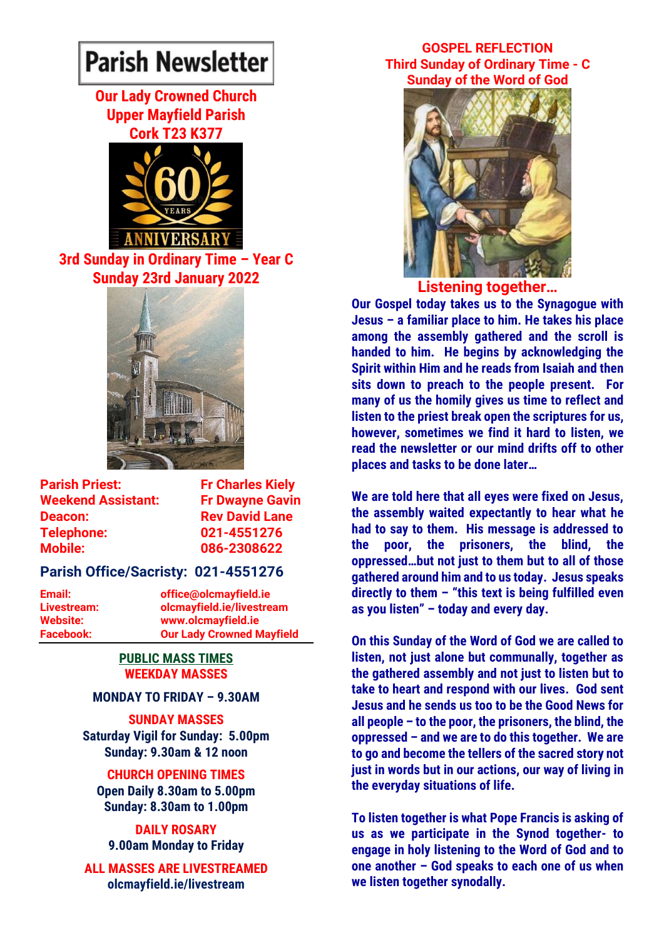# **Parish Newsletter**

# **Our Lady Crowned Church Upper Mayfield Parish Cork T23 K377**



**3rd Sunday in Ordinary Time – Year C Sunday 23rd January 2022**



**Parish Priest:** Fr Charles Kiely **Weekend Assistant: Fr Dwayne Gavin Deacon:** Rev David Lane **Telephone: 021-4551276 Mobile: 086-2308622** 

## **Parish Office/Sacristy: 021-4551276**

**Website: www.olcmayfield.ie**

**Email: office@olcmayfield.ie Livestream: olcmayfield.ie/livestream Facebook: Our Lady Crowned Mayfield**

#### **PUBLIC MASS TIMES WEEKDAY MASSES**

#### **MONDAY TO FRIDAY – 9.30AM**

**SUNDAY MASSES Saturday Vigil for Sunday: 5.00pm Sunday: 9.30am & 12 noon**

#### **CHURCH OPENING TIMES**

**Open Daily 8.30am to 5.00pm Sunday: 8.30am to 1.00pm** 

#### **DAILY ROSARY 9.00am Monday to Friday**

**ALL MASSES ARE LIVESTREAMED olcmayfield.ie/livestream**

#### **GOSPEL REFLECTION Third Sunday of Ordinary Time - C Sunday of the Word of God**



**Listening together…**

**Our Gospel today takes us to the Synagogue with Jesus – a familiar place to him. He takes his place among the assembly gathered and the scroll is handed to him. He begins by acknowledging the Spirit within Him and he reads from Isaiah and then sits down to preach to the people present. For many of us the homily gives us time to reflect and listen to the priest break open the scriptures for us, however, sometimes we find it hard to listen, we read the newsletter or our mind drifts off to other places and tasks to be done later…**

**We are told here that all eyes were fixed on Jesus, the assembly waited expectantly to hear what he had to say to them. His message is addressed to the poor, the prisoners, the blind, the oppressed…but not just to them but to all of those gathered around him and to us today. Jesus speaks directly to them – "this text is being fulfilled even as you listen" – today and every day.**

**On this Sunday of the Word of God we are called to listen, not just alone but communally, together as the gathered assembly and not just to listen but to take to heart and respond with our lives. God sent Jesus and he sends us too to be the Good News for all people – to the poor, the prisoners, the blind, the oppressed – and we are to do this together. We are to go and become the tellers of the sacred story not just in words but in our actions, our way of living in the everyday situations of life.** 

**To listen together is what Pope Francis is asking of us as we participate in the Synod together- to engage in holy listening to the Word of God and to one another – God speaks to each one of us when we listen together synodally.**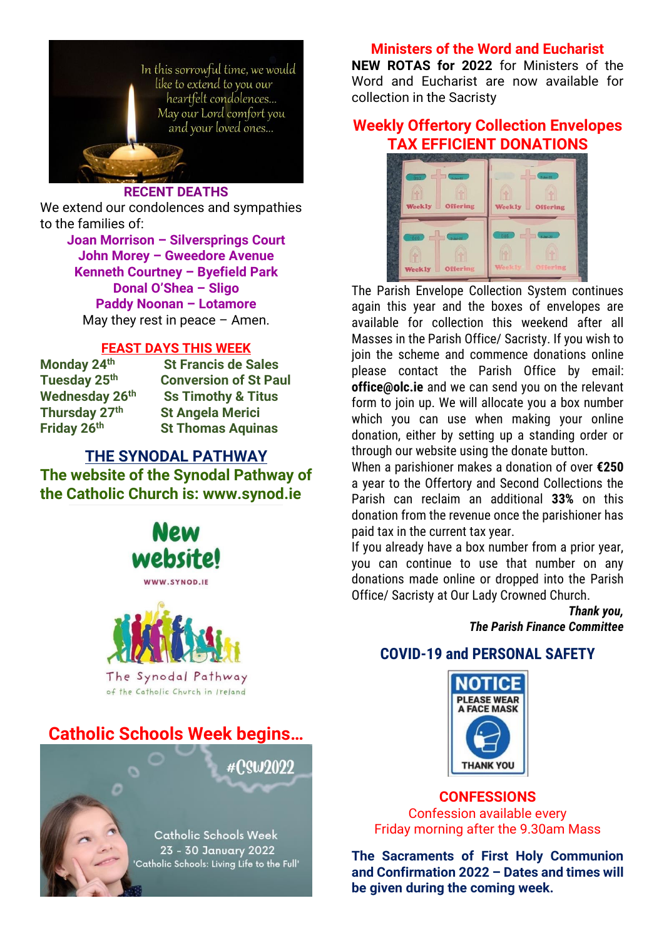

#### **RECENT DEATHS**

We extend our condolences and sympathies to the families of:

> **Joan Morrison – Silversprings Court John Morey – Gweedore Avenue Kenneth Courtney – Byefield Park Donal O'Shea – Sligo Paddy Noonan – Lotamore** May they rest in peace  $-$  Amen.

#### **FEAST DAYS THIS WEEK**

**Monday 24th St Francis de Sales Tuesday 25th Conversion of St Paul Wednesday 26th Ss Timothy & Titus Thursday 27th St Angela Merici St Thomas Aquinas** 

# **THE SYNODAL PATHWAY The website of the Synodal Pathway of the Catholic Church is: www.synod.ie**



WWW.SYNOD.IE



The Synodal Pathway of the Catholic Church in Ireland

# **Catholic Schools Week begins…**



#### **Ministers of the Word and Eucharist**

**NEW ROTAS for 2022** for Ministers of the Word and Eucharist are now available for collection in the Sacristy

# **Weekly Offertory Collection Envelopes TAX EFFICIENT DONATIONS**



The Parish Envelope Collection System continues again this year and the boxes of envelopes are available for collection this weekend after all Masses in the Parish Office/ Sacristy. If you wish to join the scheme and commence donations online please contact the Parish Office by email: **office@olc.ie** and we can send you on the relevant form to join up. We will allocate you a box number which you can use when making your online donation, either by setting up a standing order or through our website using the donate button.

When a parishioner makes a donation of over **€250** a year to the Offertory and Second Collections the Parish can reclaim an additional **33%** on this donation from the revenue once the parishioner has paid tax in the current tax year.

If you already have a box number from a prior year, you can continue to use that number on any donations made online or dropped into the Parish Office/ Sacristy at Our Lady Crowned Church.

> *Thank you, The Parish Finance Committee*

## **COVID-19 and PERSONAL SAFETY**



**CONFESSIONS** Confession available every Friday morning after the 9.30am Mass

**The Sacraments of First Holy Communion and Confirmation 2022 – Dates and times will be given during the coming week.**